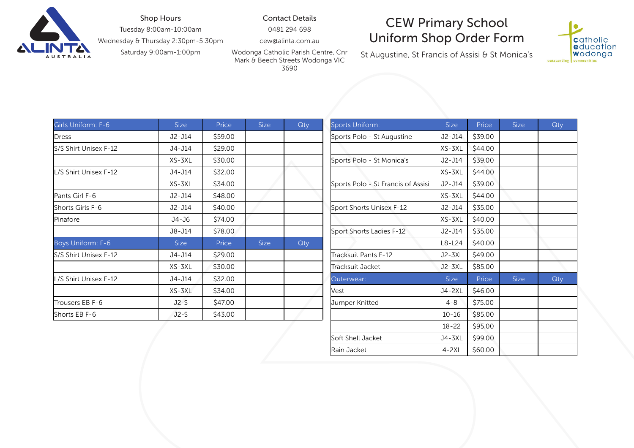

## Shop Hours

Tuesday 8:00am-10:00am

Wednesday & Thursday 2:30pm-5:30pm

Saturday 9:00am-1:00pm

Contact Details

0481 294 698

cew@alinta.com.au

Wodonga Catholic Parish Centre, Cnr Mark & Beech Streets Wodonga VIC 3690

## CEW Primary School Uniform Shop Order Form

St Augustine, St Francis of Assisi & St Monica's



| Girls Uniform: F-6    | Size        | Price   | <b>Size</b> | Qty | <b>Sports Uniform:</b>             | <b>Size</b> | Price   | <b>Size</b> | Qty |
|-----------------------|-------------|---------|-------------|-----|------------------------------------|-------------|---------|-------------|-----|
| Dress                 | $J2-J14$    | \$59.00 |             |     | Sports Polo - St Augustine         | $J2-J14$    | \$39.00 |             |     |
| S/S Shirt Unisex F-12 | J4-J14      | \$29.00 |             |     |                                    | XS-3XL      | \$44.00 |             |     |
|                       | XS-3XL      | \$30.00 |             |     | Sports Polo - St Monica's          | J2-J14      | \$39.00 |             |     |
| L/S Shirt Unisex F-12 | J4-J14      | \$32.00 |             |     |                                    | XS-3XL      | \$44.00 |             |     |
|                       | XS-3XL      | \$34.00 |             |     | Sports Polo - St Francis of Assisi | J2-J14      | \$39.00 |             |     |
| Pants Girl F-6        | $J2-J14$    | \$48.00 |             |     |                                    | XS-3XL      | \$44.00 |             |     |
| Shorts Girls F-6      | J2-J14      | \$40.00 |             |     | Sport Shorts Unisex F-12           | J2-J14      | \$35.00 |             |     |
| Pinafore              | J4-J6       | \$74.00 |             |     |                                    | XS-3XL      | \$40.00 |             |     |
|                       | J8-J14      | \$78.00 |             |     | Sport Shorts Ladies F-12           | J2-J14      | \$35.00 |             |     |
| Boys Uniform: F-6     | <b>Size</b> | Price   | <b>Size</b> | Qty |                                    | $L8-L24$    | \$40.00 |             |     |
| S/S Shirt Unisex F-12 | J4-J14      | \$29.00 |             |     | Tracksuit Pants F-12               | J2-3XL      | \$49.00 |             |     |
|                       | XS-3XL      | \$30.00 |             |     | Tracksuit Jacket                   | J2-3XL      | \$85.00 |             |     |
| L/S Shirt Unisex F-12 | J4-J14      | \$32.00 |             |     | Outerwear:                         | <b>Size</b> | Price   | <b>Size</b> | Qty |
|                       | XS-3XL      | \$34.00 |             |     | Vest                               | J4-2XL      | \$46.00 |             |     |
| Trousers EB F-6       | $J2-S$      | \$47.00 |             |     | Jumper Knitted                     | $4 - 8$     | \$75.00 |             |     |
| Shorts EB F-6         | $J2-S$      | \$43.00 |             |     |                                    | $10 - 16$   | \$85.00 |             |     |

| <b>Size</b> | Price   | <b>Size</b> | Qty | Sports Uniform:                    | <b>Size</b> | Price   | <b>Size</b> | Qty |
|-------------|---------|-------------|-----|------------------------------------|-------------|---------|-------------|-----|
| J2-J14      | \$59.00 |             |     | Sports Polo - St Augustine         | $J2-J14$    | \$39.00 |             |     |
| J4-J14      | \$29.00 |             |     |                                    | XS-3XL      | \$44.00 |             |     |
| XS-3XL      | \$30.00 |             |     | Sports Polo - St Monica's          | $J2-J14$    | \$39.00 |             |     |
| J4-J14      | \$32.00 |             |     |                                    | XS-3XL      | \$44.00 |             |     |
| XS-3XL      | \$34.00 |             |     | Sports Polo - St Francis of Assisi | J2-J14      | \$39.00 |             |     |
| J2-J14      | \$48.00 |             |     |                                    | XS-3XL      | \$44.00 |             |     |
| J2-J14      | \$40.00 |             |     | Sport Shorts Unisex F-12           | J2-J14      | \$35.00 |             |     |
| J4-J6       | \$74.00 |             |     |                                    | XS-3XL      | \$40.00 |             |     |
| J8-J14      | \$78.00 |             |     | Sport Shorts Ladies F-12           | $J2-J14$    | \$35.00 |             |     |
| <b>Size</b> | Price   | <b>Size</b> | Qty |                                    | L8-L24      | \$40.00 |             |     |
| J4-J14      | \$29.00 |             |     | Tracksuit Pants F-12               | J2-3XL      | \$49.00 |             |     |
| XS-3XL      | \$30.00 |             |     | Tracksuit Jacket                   | J2-3XL      | \$85.00 |             |     |
| J4-J14      | \$32.00 |             |     | Outerwear:                         | <b>Size</b> | Price   | Size        | Qty |
| XS-3XL      | \$34.00 |             |     | Vest                               | J4-2XL      | \$46.00 |             |     |
| $J2-S$      | \$47.00 |             |     | <b>Jumper Knitted</b>              | $4 - 8$     | \$75.00 |             |     |
| $J2-S$      | \$43.00 |             |     |                                    | $10 - 16$   | \$85.00 |             |     |
|             |         |             |     |                                    | $18 - 22$   | \$95.00 |             |     |
|             |         |             |     | Soft Shell Jacket                  | J4-3XL      | \$99.00 |             |     |
|             |         |             |     | Rain Jacket                        | $4 - 2XL$   | \$60.00 |             |     |
|             |         |             |     |                                    |             |         |             |     |